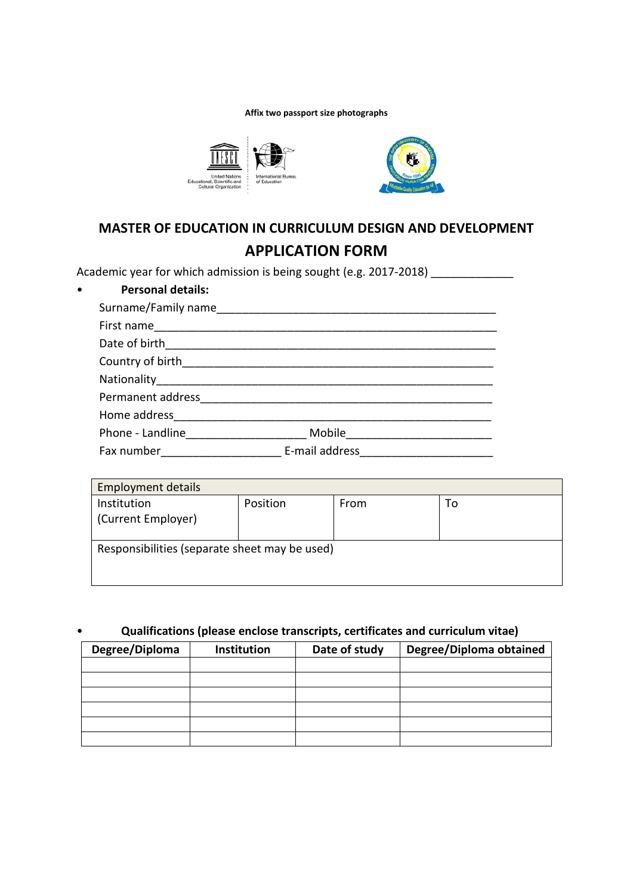## **Affix two passport size photographs**



## **MASTER OF EDUCATION IN CURRICULUM DESIGN AND DEVELOPMENT APPLICATION FORM**

Academic year for which admission is being sought (e.g. 2017-2018) \_\_\_\_\_\_\_\_\_\_\_\_\_

| <b>Personal details:</b><br>$\bullet$ |                |  |
|---------------------------------------|----------------|--|
|                                       |                |  |
| First name                            |                |  |
|                                       |                |  |
|                                       |                |  |
| Nationality                           |                |  |
| Permanent address                     |                |  |
| Home address                          |                |  |
| Phone - Landline <b>Example 2018</b>  | Mobile         |  |
| Fax number                            | E-mail address |  |

| <b>Employment details</b>                     |          |      |    |
|-----------------------------------------------|----------|------|----|
| Institution                                   | Position | From | То |
| (Current Employer)                            |          |      |    |
| Responsibilities (separate sheet may be used) |          |      |    |

## • **Qualifications (please enclose transcripts, certificates and curriculum vitae)**

| Degree/Diploma | Institution | Date of study | Degree/Diploma obtained |
|----------------|-------------|---------------|-------------------------|
|                |             |               |                         |
|                |             |               |                         |
|                |             |               |                         |
|                |             |               |                         |
|                |             |               |                         |
|                |             |               |                         |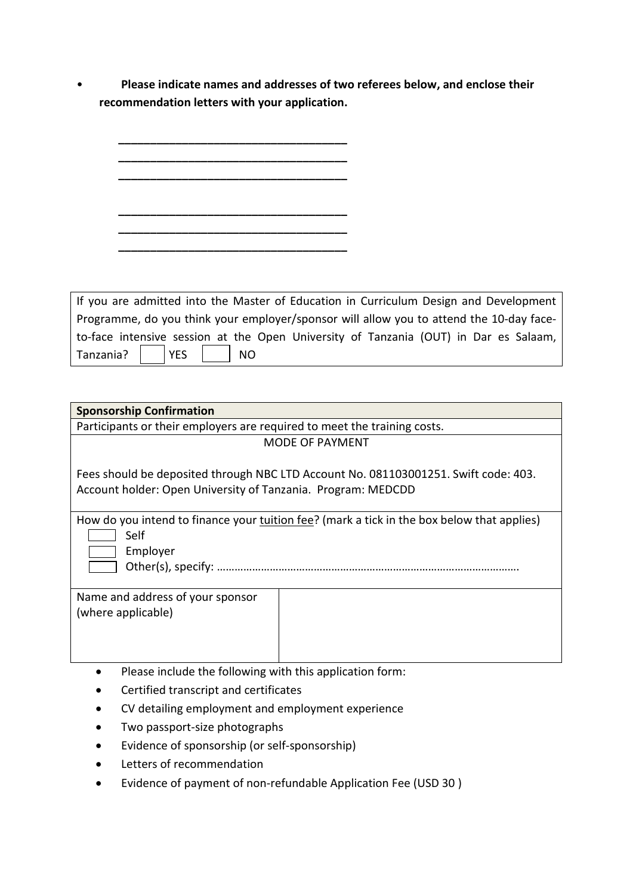• **Please indicate names and addresses of two referees below, and enclose their recommendation letters with your application.**

| If you are admitted into the Master of Education in Curriculum Design and Development   |
|-----------------------------------------------------------------------------------------|
| Programme, do you think your employer/sponsor will allow you to attend the 10-day face- |
| to-face intensive session at the Open University of Tanzania (OUT) in Dar es Salaam,    |
| <b>YES</b><br>Tanzania?<br><b>NO</b>                                                    |

| <b>Sponsorship Confirmation</b>                                                                                                                     |                        |
|-----------------------------------------------------------------------------------------------------------------------------------------------------|------------------------|
| Participants or their employers are required to meet the training costs.                                                                            |                        |
|                                                                                                                                                     | <b>MODE OF PAYMENT</b> |
| Fees should be deposited through NBC LTD Account No. 081103001251. Swift code: 403.<br>Account holder: Open University of Tanzania. Program: MEDCDD |                        |
| How do you intend to finance your tuition fee? (mark a tick in the box below that applies)<br>Self<br>Employer                                      |                        |
| Name and address of your sponsor<br>(where applicable)                                                                                              |                        |
| Please include the following with this application form:                                                                                            |                        |
| Certified transcript and certificates                                                                                                               |                        |

- CV detailing employment and employment experience
- Two passport-size photographs
- Evidence of sponsorship (or self-sponsorship)
- Letters of recommendation
- Evidence of payment of non-refundable Application Fee (USD 30 )